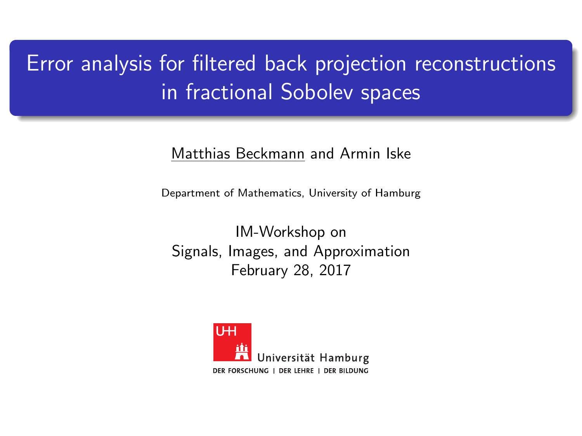# <span id="page-0-0"></span>Error analysis for filtered back projection reconstructions in fractional Sobolev spaces

#### Matthias Beckmann and Armin Iske

Department of Mathematics, University of Hamburg

IM-Workshop on Signals, Images, and Approximation February 28, 2017

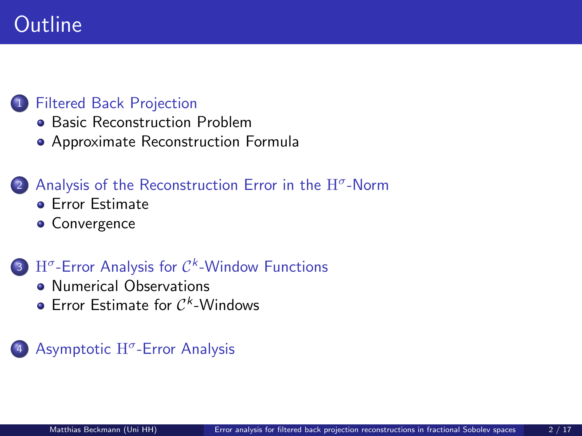# **Outline**

### <sup>1</sup> [Filtered Back Projection](#page-2-0)

- **[Basic Reconstruction Problem](#page-2-0)**
- [Approximate Reconstruction Formula](#page-7-0)

### 2 [Analysis of the Reconstruction Error in the](#page-14-0)  $H^{\sigma}$ -Norm

- **•** [Error Estimate](#page-14-0)
- **[Convergence](#page-22-0)**

### $3$  H<sup> $\sigma$ </sup>-Error Analysis for  $C<sup>k</sup>$ [-Window Functions](#page-28-0)

- **[Numerical Observations](#page-28-0)**
- [Error Estimate for](#page-33-0)  $C^k$ -Windows

### 4 Asymptotic H<sup>o</sup>[-Error Analysis](#page-43-0)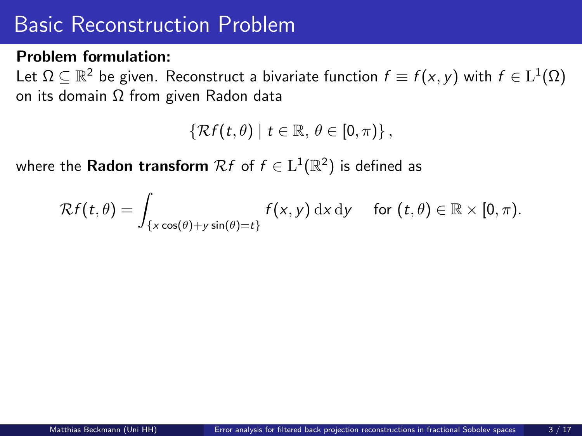#### <span id="page-2-0"></span>Problem formulation:

Let  $\Omega\subseteq\mathbb{R}^2$  be given. Reconstruct a bivariate function  $f\equiv f(x,y)$  with  $f\in\mathrm{L}^1(\Omega)$ on its domain Ω from given Radon data

 $\{\mathcal{R}f(t,\theta) \mid t \in \mathbb{R}, \theta \in [0,\pi)\}\,$ 

where the <code>Radon</code> transform  $\mathcal{R}f$  of  $f\in\mathrm{L}^1(\mathbb{R}^2)$  is defined as

$$
\mathcal{R}f(t,\theta)=\int_{\{x\cos(\theta)+y\sin(\theta)=t\}}f(x,y)\,\mathrm{d} x\,\mathrm{d} y\quad\text{ for }(t,\theta)\in\mathbb{R}\times[0,\pi).
$$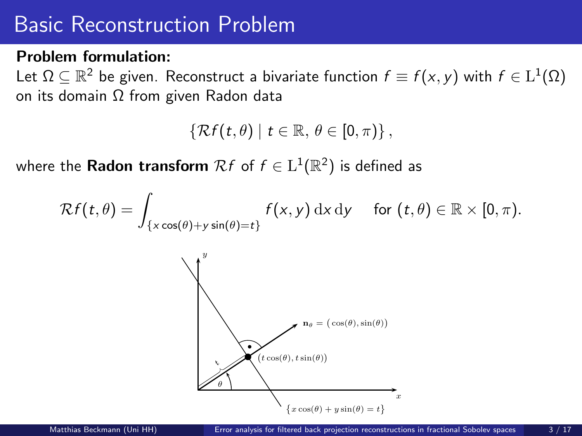#### Problem formulation:

Let  $\Omega\subseteq\mathbb{R}^2$  be given. Reconstruct a bivariate function  $f\equiv f(x,y)$  with  $f\in\mathrm{L}^1(\Omega)$ on its domain Ω from given Radon data

$$
\left\{\mathcal{R}f(t,\theta)\mid t\in\mathbb{R},\,\theta\in[0,\pi)\right\},\
$$

where the <code>Radon</code> transform  $\mathcal{R}f$  of  $f\in\mathrm{L}^1(\mathbb{R}^2)$  is defined as

$$
\mathcal{R}f(t,\theta)=\int_{\{x\cos(\theta)+y\sin(\theta)=t\}}f(x,y)\,\mathrm{d} x\,\mathrm{d} y\quad\text{ for }(t,\theta)\in\mathbb{R}\times[0,\pi).
$$

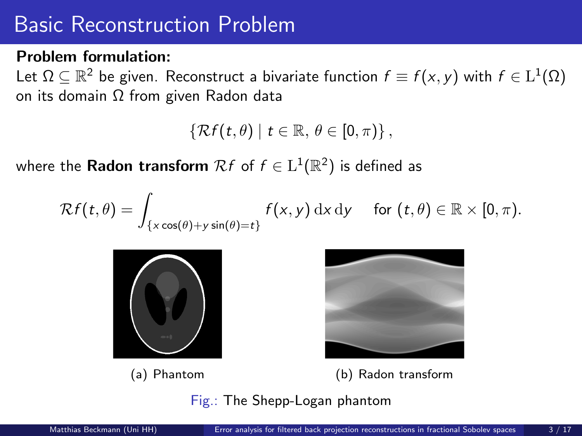#### Problem formulation:

Let  $\Omega\subseteq\mathbb{R}^2$  be given. Reconstruct a bivariate function  $f\equiv f(x,y)$  with  $f\in\mathrm{L}^1(\Omega)$ on its domain Ω from given Radon data

$$
\left\{ \mathcal{R}f(t,\theta)\mid t\in\mathbb{R},\,\theta\in[0,\pi)\right\} ,
$$

where the <code>Radon</code> transform  $\mathcal{R}f$  of  $f\in\mathrm{L}^1(\mathbb{R}^2)$  is defined as

$$
\mathcal{R}f(t,\theta)=\int_{\{x\cos(\theta)+y\sin(\theta)=t\}}f(x,y)\,\mathrm{d} x\,\mathrm{d} y\quad\text{ for }(t,\theta)\in\mathbb{R}\times[0,\pi).
$$







(a) Phantom (b) Radon transform

Fig.: The Shepp-Logan phantom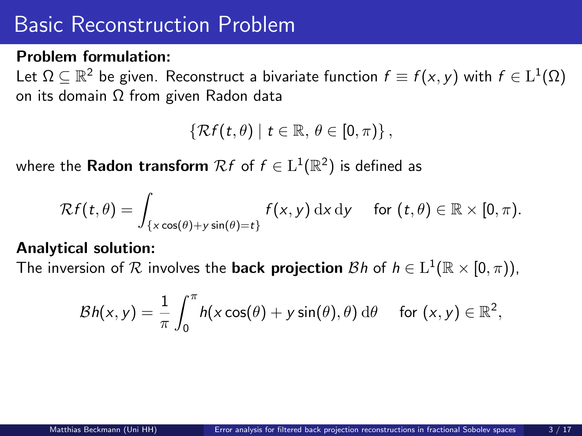#### Problem formulation:

Let  $\Omega\subseteq\mathbb{R}^2$  be given. Reconstruct a bivariate function  $f\equiv f(x,y)$  with  $f\in\mathrm{L}^1(\Omega)$ on its domain Ω from given Radon data

 $\{\mathcal{R}f(t,\theta) \mid t \in \mathbb{R}, \theta \in [0,\pi)\}\,$ 

where the <code>Radon</code> transform  $\mathcal{R}f$  of  $f\in\mathrm{L}^1(\mathbb{R}^2)$  is defined as

$$
\mathcal{R}f(t,\theta)=\int_{\{x\cos(\theta)+y\sin(\theta)=t\}}f(x,y)\,\mathrm{d} x\,\mathrm{d} y\quad\text{ for }(t,\theta)\in\mathbb{R}\times[0,\pi).
$$

#### Analytical solution:

The inversion of  $R$  involves the **back projection**  $\mathcal{B}h$  of  $h \in L^1(\mathbb{R} \times [0, \pi))$ ,

$$
\mathcal{B}h(x,y) = \frac{1}{\pi} \int_0^{\pi} h(x \cos(\theta) + y \sin(\theta), \theta) d\theta \quad \text{ for } (x,y) \in \mathbb{R}^2,
$$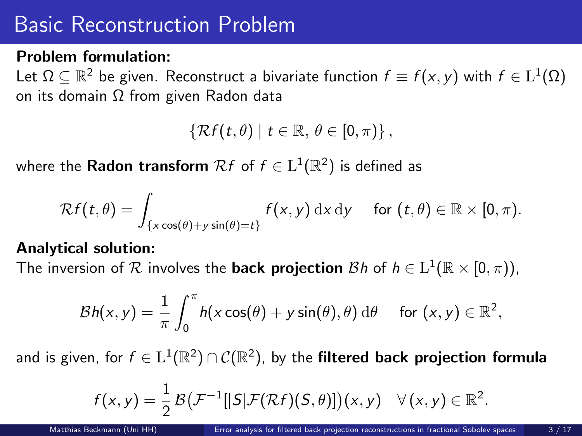#### Problem formulation:

Let  $\Omega\subseteq\mathbb{R}^2$  be given. Reconstruct a bivariate function  $f\equiv f(x,y)$  with  $f\in\mathrm{L}^1(\Omega)$ on its domain Ω from given Radon data

 $\{\mathcal{R}f(t,\theta) \mid t \in \mathbb{R}, \theta \in [0,\pi)\}\,$ 

where the <code>Radon</code> transform  $\mathcal{R}f$  of  $f\in\mathrm{L}^1(\mathbb{R}^2)$  is defined as

$$
\mathcal{R}f(t,\theta)=\int_{\{x\cos(\theta)+y\sin(\theta)=t\}}f(x,y)\,\mathrm{d} x\,\mathrm{d} y\quad\text{ for }(t,\theta)\in\mathbb{R}\times[0,\pi).
$$

#### Analytical solution:

The inversion of  $R$  involves the **back projection**  $\mathcal{B}h$  of  $h \in L^1(\mathbb{R} \times [0, \pi))$ ,

$$
\mathcal{B}h(x,y) = \frac{1}{\pi} \int_0^{\pi} h(x \cos(\theta) + y \sin(\theta), \theta) d\theta \quad \text{ for } (x,y) \in \mathbb{R}^2,
$$

and is given, for  $f\in \mathrm{L}^1(\mathbb{R}^2)\cap\mathcal{C}(\mathbb{R}^2)$ , by the filtered back projection formula

$$
f(x,y)=\frac{1}{2}\mathcal{B}(\mathcal{F}^{-1}[|S|\mathcal{F}(\mathcal{R}f)(S,\theta)])(x,y) \quad \forall (x,y) \in \mathbb{R}^2.
$$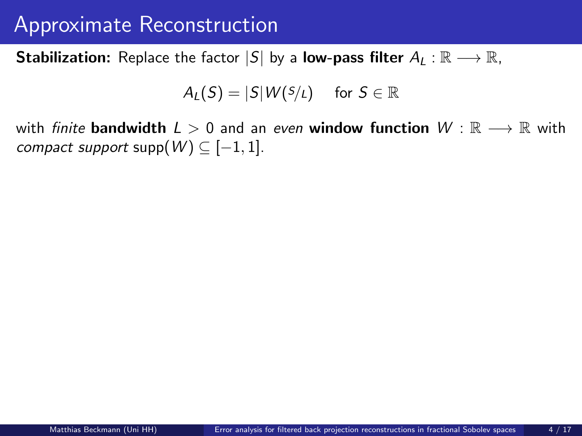<span id="page-7-0"></span>**Stabilization:** Replace the factor  $|S|$  by a **low-pass filter**  $A_L : \mathbb{R} \longrightarrow \mathbb{R}$ ,

$$
A_L(S) = |S|W(S/L) \quad \text{ for } S \in \mathbb{R}
$$

with finite bandwidth  $L > 0$  and an even window function  $W : \mathbb{R} \longrightarrow \mathbb{R}$  with compact support supp $(W) \subseteq [-1,1]$ .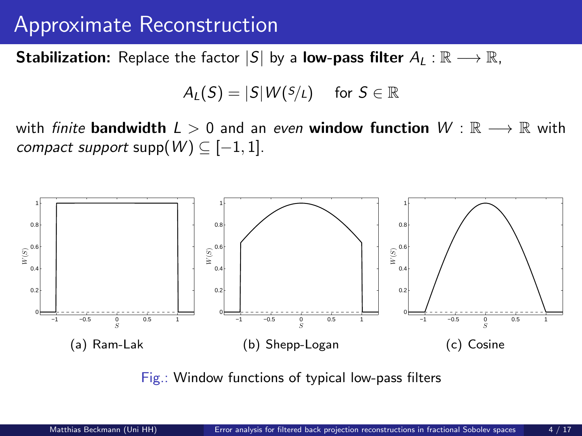**Stabilization:** Replace the factor  $|S|$  by a **low-pass filter**  $A_L : \mathbb{R} \longrightarrow \mathbb{R}$ ,

$$
A_L(S) = |S|W(S/L) \quad \text{ for } S \in \mathbb{R}
$$

with *finite* bandwidth  $L > 0$  and an even window function  $W : \mathbb{R} \longrightarrow \mathbb{R}$  with compact support supp $(W) \subseteq [-1,1]$ .



Fig.: Window functions of typical low-pass filters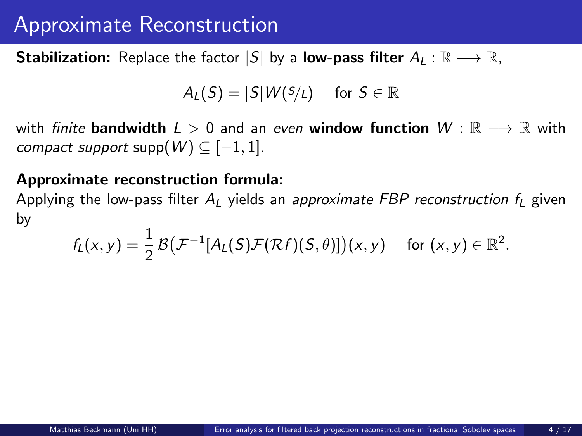**Stabilization:** Replace the factor  $|S|$  by a **low-pass filter**  $A_L : \mathbb{R} \longrightarrow \mathbb{R}$ ,

$$
A_L(S) = |S|W(S/L) \quad \text{ for } S \in \mathbb{R}
$$

with *finite* **bandwidth**  $L > 0$  and an even **window function**  $W : \mathbb{R} \longrightarrow \mathbb{R}$  with compact support supp $(W) \subseteq [-1, 1]$ .

#### Approximate reconstruction formula:

Applying the low-pass filter  $A_l$  yields an approximate FBP reconstruction  $f_l$  given by

$$
f_L(x,y) = \frac{1}{2} \mathcal{B} \big( \mathcal{F}^{-1}[A_L(S)\mathcal{F}(\mathcal{R}f)(S,\theta)] \big)(x,y) \quad \text{ for } (x,y) \in \mathbb{R}^2.
$$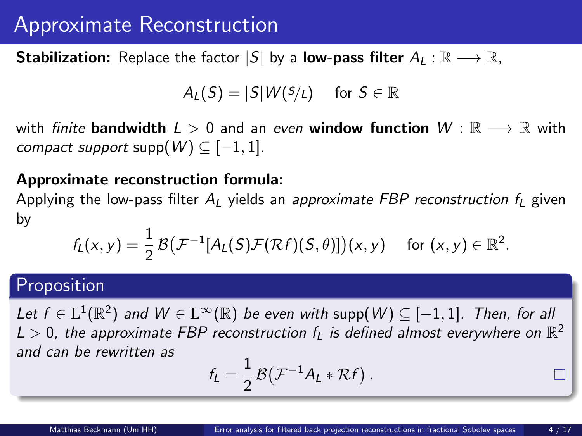**Stabilization:** Replace the factor  $|S|$  by a **low-pass filter**  $A_l : \mathbb{R} \longrightarrow \mathbb{R}$ ,

$$
A_L(S) = |S|W(S/L) \quad \text{ for } S \in \mathbb{R}
$$

with *finite* bandwidth  $L > 0$  and an even window function  $W : \mathbb{R} \longrightarrow \mathbb{R}$  with compact support supp $(W) \subseteq [-1, 1]$ .

#### Approximate reconstruction formula:

Applying the low-pass filter  $A_l$  yields an approximate FBP reconstruction  $f_l$  given by

$$
f_L(x,y) = \frac{1}{2} \mathcal{B} \big( \mathcal{F}^{-1}[A_L(S)\mathcal{F}(\mathcal{R}f)(S,\theta)] \big)(x,y) \quad \text{ for } (x,y) \in \mathbb{R}^2.
$$

### Proposition

Let  $f \in L^1(\mathbb{R}^2)$  and  $W \in L^\infty(\mathbb{R})$  be even with supp $(W) \subseteq [-1,1]$ . Then, for all  $L > 0$ , the approximate FBP reconstruction  $f_L$  is defined almost everywhere on  $\mathbb{R}^2$ and can be rewritten as

$$
f_L = \frac{1}{2} \mathcal{B} \big( \mathcal{F}^{-1} A_L * \mathcal{R} f \big) .
$$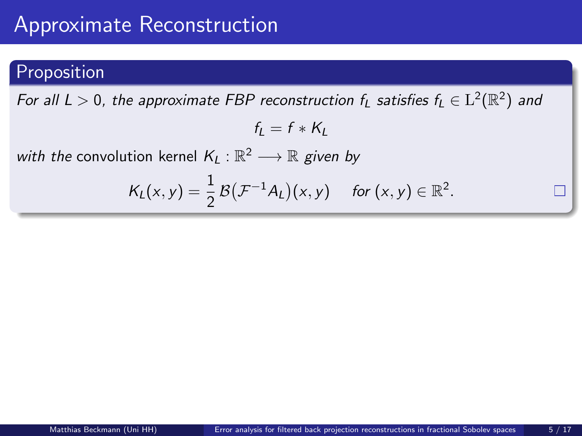### Proposition

For all  $L>0$ , the approximate FBP reconstruction  $f_L$  satisfies  $f_L\in\mathrm{L}^2(\mathbb{R}^2)$  and

$$
f_L = f * K_L
$$

with the convolution kernel  $K_L : \mathbb{R}^2 \longrightarrow \mathbb{R}$  given by

$$
K_L(x,y)=\frac{1}{2}\mathcal{B}(\mathcal{F}^{-1}A_L)(x,y) \quad \text{ for } (x,y)\in\mathbb{R}^2.
$$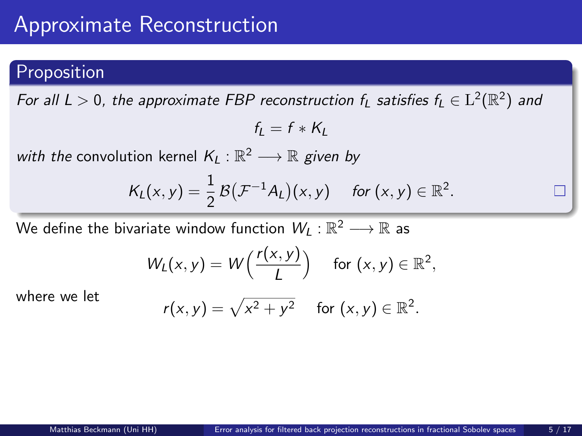### Proposition

For all  $L>0$ , the approximate FBP reconstruction  $f_L$  satisfies  $f_L\in\mathrm{L}^2(\mathbb{R}^2)$  and

$$
f_L = f * K_L
$$

with the convolution kernel  $K_L : \mathbb{R}^2 \longrightarrow \mathbb{R}$  given by

$$
K_L(x,y)=\frac{1}{2}\mathcal{B}(\mathcal{F}^{-1}A_L)(x,y) \quad \text{ for } (x,y)\in\mathbb{R}^2.
$$

We define the bivariate window function  $\mathcal{W}_L:\mathbb{R}^2\longrightarrow\mathbb{R}$  as

$$
W_L(x,y) = W\left(\frac{r(x,y)}{L}\right) \quad \text{for } (x,y) \in \mathbb{R}^2,
$$

where we let

$$
r(x,y) = \sqrt{x^2 + y^2} \quad \text{for } (x,y) \in \mathbb{R}^2.
$$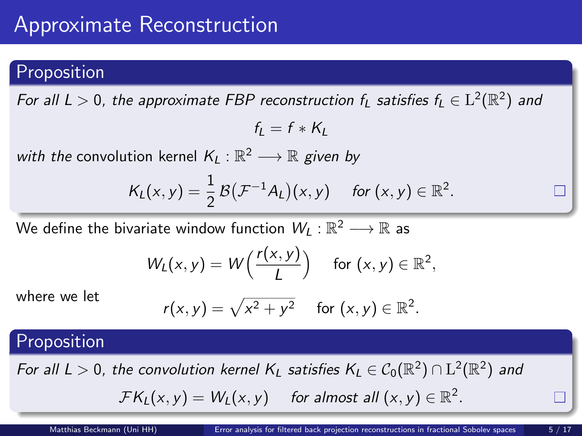### Proposition

For all  $L>0$ , the approximate FBP reconstruction  $f_L$  satisfies  $f_L\in\mathrm{L}^2(\mathbb{R}^2)$  and

$$
f_L = f * K_L
$$

with the convolution kernel  $K_L : \mathbb{R}^2 \longrightarrow \mathbb{R}$  given by

$$
K_L(x,y)=\frac{1}{2}\mathcal{B}(\mathcal{F}^{-1}A_L)(x,y) \quad \text{ for } (x,y)\in\mathbb{R}^2.
$$

We define the bivariate window function  $\mathcal{W}_L:\mathbb{R}^2\longrightarrow\mathbb{R}$  as

$$
W_L(x,y) = W\left(\frac{r(x,y)}{L}\right) \quad \text{for } (x,y) \in \mathbb{R}^2,
$$

where we let

$$
r(x,y) = \sqrt{x^2 + y^2} \quad \text{for } (x,y) \in \mathbb{R}^2.
$$

#### Proposition

For all  $L > 0$ , the convolution kernel  $K_L$  satisfies  $K_L \in C_0(\mathbb{R}^2) \cap L^2(\mathbb{R}^2)$  and  $\mathcal{F}K_L(x,y) = W_L(x,y)$  for almost all  $(x,y) \in \mathbb{R}^2$ .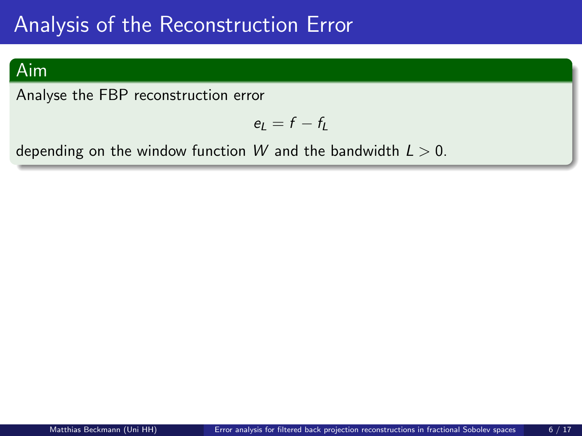### <span id="page-14-0"></span>Aim

Analyse the FBP reconstruction error

$$
e_L=f-f_L
$$

depending on the window function W and the bandwidth  $L > 0$ .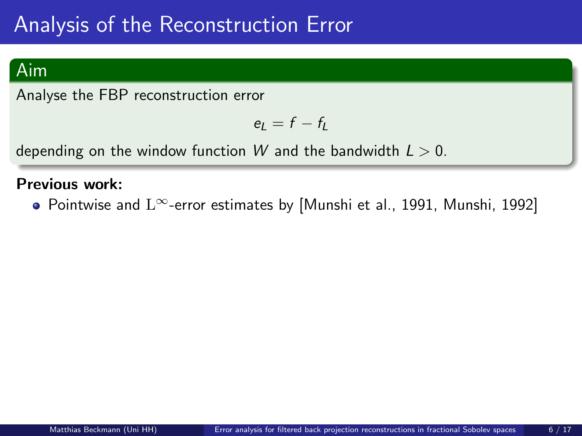### Aim

Analyse the FBP reconstruction error

$$
e_L=f-f_L
$$

depending on the window function W and the bandwidth  $L > 0$ .

#### Previous work:

Pointwise and L∞-error estimates by [\[Munshi et al., 1991,](#page-44-0) [Munshi, 1992\]](#page-44-1)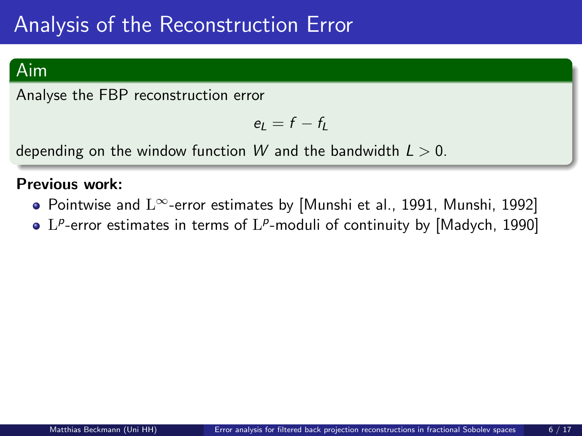### Aim

Analyse the FBP reconstruction error

$$
e_L=f-f_L
$$

depending on the window function W and the bandwidth  $L > 0$ .

#### Previous work:

- Pointwise and  $L^{\infty}$ -error estimates by [\[Munshi et al., 1991,](#page-44-0) [Munshi, 1992\]](#page-44-1)
- $L^p$ -error estimates in terms of  $L^p$ -moduli of continuity by [\[Madych, 1990\]](#page-44-2)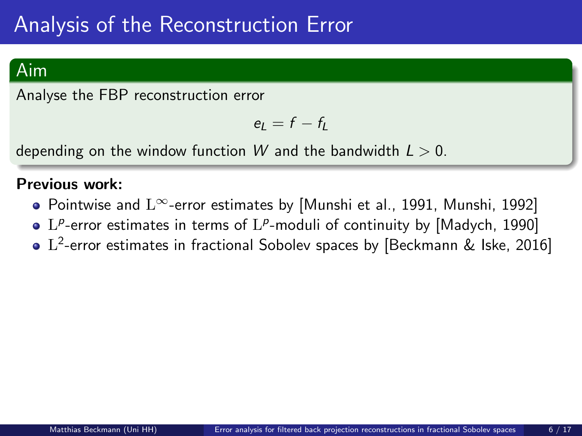### Aim

Analyse the FBP reconstruction error

$$
e_L=f-f_L
$$

depending on the window function W and the bandwidth  $L > 0$ .

#### Previous work:

- Pointwise and  $L^{\infty}$ -error estimates by [\[Munshi et al., 1991,](#page-44-0) [Munshi, 1992\]](#page-44-1)
- $L^p$ -error estimates in terms of  $L^p$ -moduli of continuity by [\[Madych, 1990\]](#page-44-2)
- $\rm L^2$ -error estimates in fractional Sobolev spaces by [\[Beckmann & Iske, 2016\]](#page-44-3)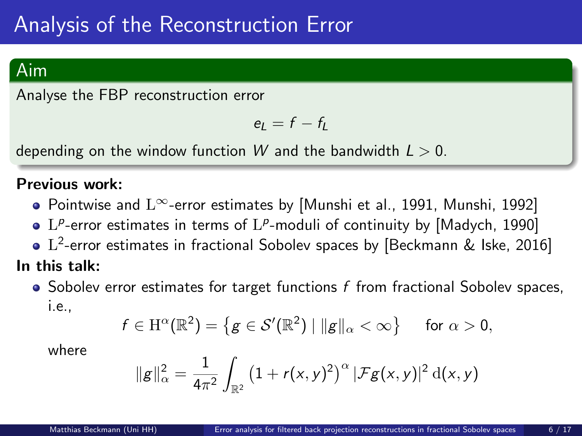### Aim

Analyse the FBP reconstruction error

$$
e_L = f - f_L
$$

depending on the window function W and the bandwidth  $L > 0$ .

#### Previous work:

- Pointwise and L∞-error estimates by [\[Munshi et al., 1991,](#page-44-0) [Munshi, 1992\]](#page-44-1)
- $L^p$ -error estimates in terms of  $L^p$ -moduli of continuity by [\[Madych, 1990\]](#page-44-2)
- $\rm L^2$ -error estimates in fractional Sobolev spaces by [\[Beckmann & Iske, 2016\]](#page-44-3)

#### In this talk:

 $\bullet$  Sobolev error estimates for target functions f from fractional Sobolev spaces, i.e.,

$$
f \in \mathrm{H}^\alpha(\mathbb{R}^2) = \left\{ g \in \mathcal{S}'(\mathbb{R}^2) \mid ||g||_\alpha < \infty \right\} \quad \text{ for } \alpha > 0,
$$

where

$$
\|g\|_{\alpha}^2 = \frac{1}{4\pi^2} \int_{\mathbb{R}^2} (1 + r(x, y)^2)^{\alpha} |\mathcal{F}g(x, y)|^2 d(x, y)
$$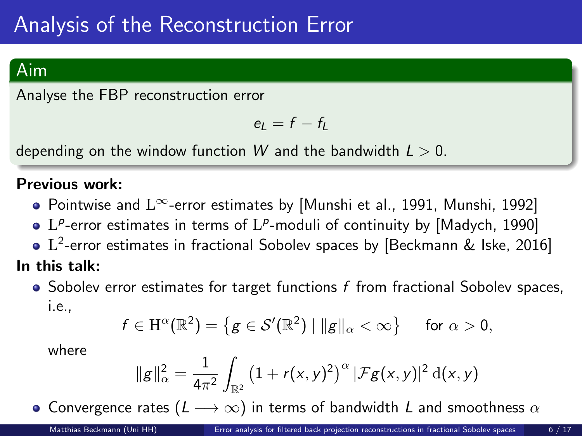### Aim

Analyse the FBP reconstruction error

$$
e_L = f - f_L
$$

depending on the window function W and the bandwidth  $L > 0$ .

#### Previous work:

- Pointwise and  $L^{\infty}$ -error estimates by [\[Munshi et al., 1991,](#page-44-0) [Munshi, 1992\]](#page-44-1)
- $L^p$ -error estimates in terms of  $L^p$ -moduli of continuity by [\[Madych, 1990\]](#page-44-2)
- $\rm L^2$ -error estimates in fractional Sobolev spaces by [\[Beckmann & Iske, 2016\]](#page-44-3)

#### In this talk:

 $\bullet$  Sobolev error estimates for target functions f from fractional Sobolev spaces, i.e.,

$$
f \in \mathrm{H}^\alpha(\mathbb{R}^2) = \left\{ g \in \mathcal{S}'(\mathbb{R}^2) \mid ||g||_\alpha < \infty \right\} \quad \text{ for } \alpha > 0,
$$

where

$$
\|g\|_{\alpha}^2 = \frac{1}{4\pi^2} \int_{\mathbb{R}^2} (1 + r(x, y)^2)^{\alpha} |\mathcal{F}g(x, y)|^2 d(x, y)
$$

• Convergence rates ( $L \longrightarrow \infty$ ) in terms of bandwidth L and smoothness  $\alpha$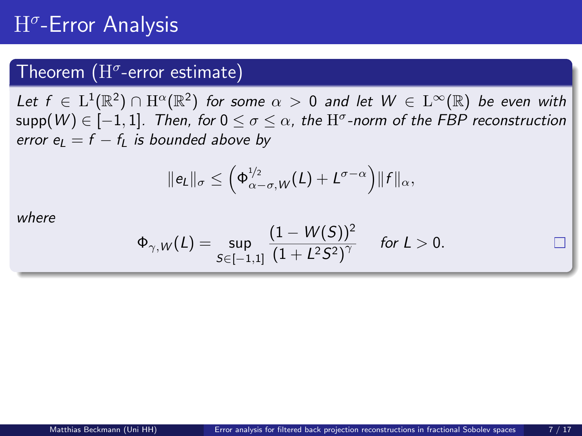# $\mathrm{H}^\sigma$ -Error Analysis

## Theorem  $(H^{\sigma}$ -error estimate)

Let  $f\, \in\, \mathrm{L}^1(\mathbb{R}^2)\, \cap\, \mathrm{H}^\alpha(\mathbb{R}^2)$  for some  $\alpha\, >\, 0$  and let  $W\, \in\, \mathrm{L}^\infty(\mathbb{R})$  be even with  $\mathsf{supp}(W) \in [-1,1]$ . Then, for  $0 \leq \sigma \leq \alpha$ , the  $\mathrm{H}^\sigma$ -norm of the FBP reconstruction error  $e_1 = f - f_1$  is bounded above by

$$
\|e_L\|_{\sigma} \leq \left(\Phi_{\alpha-\sigma,W}^{1/2}(L)+L^{\sigma-\alpha}\right) \|f\|_{\alpha},
$$

where

$$
\Phi_{\gamma,W}(L)=\sup_{S\in[-1,1]}\frac{(1-W(S))^2}{(1+L^2S^2)^{\gamma}}\quad\text{ for }L>0.
$$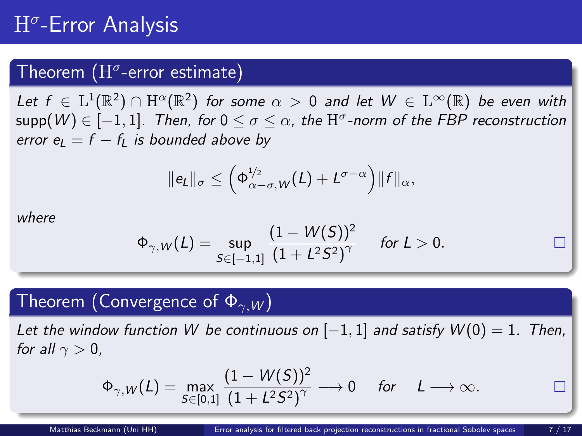# $\mathrm{H}^\sigma$ -Error Analysis

## Theorem  $(H^{\sigma}$ -error estimate)

Let  $f\, \in\, \mathrm{L}^1(\mathbb{R}^2)\, \cap\, \mathrm{H}^\alpha(\mathbb{R}^2)$  for some  $\alpha\, >\, 0$  and let  $W\, \in\, \mathrm{L}^\infty(\mathbb{R})$  be even with  $\mathsf{supp}(W) \in [-1,1]$ . Then, for  $0 \leq \sigma \leq \alpha$ , the  $\mathrm{H}^\sigma$ -norm of the FBP reconstruction error  $e_1 = f - f_1$  is bounded above by

$$
\|e_L\|_{\sigma} \leq \left(\Phi_{\alpha-\sigma,W}^{1/2}(L)+L^{\sigma-\alpha}\right) \|f\|_{\alpha},
$$

where

$$
\Phi_{\gamma,W}(L)=\sup_{S\in[-1,1]}\frac{(1-W(S))^2}{(1+L^2S^2)^{\gamma}}\quad\text{ for }L>0.
$$

### Theorem (Convergence of  $\Phi_{\gamma W}$ )

Let the window function W be continuous on  $[-1,1]$  and satisfy  $W(0) = 1$ . Then, for all  $\gamma > 0$ ,

$$
\Phi_{\gamma,W}(L)=\max_{S\in[0,1]}\frac{(1-W(S))^2}{(1+L^2S^2)^{\gamma}}\longrightarrow 0\quad \text{ for }\quad L\longrightarrow\infty.
$$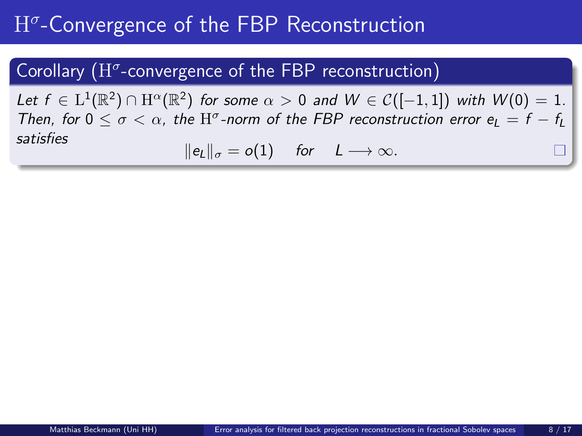## <span id="page-22-0"></span>Corollary  $(H^{\sigma}$ -convergence of the FBP reconstruction)

Let  $f \in L^1(\mathbb{R}^2) \cap H^{\alpha}(\mathbb{R}^2)$  for some  $\alpha > 0$  and  $W \in C([-1,1])$  with  $W(0) = 1$ . Then, for  $0 \le \sigma < \alpha$ , the  $H^{\sigma}$ -norm of the FBP reconstruction error  $e_L = f - f_L$ satisfies

$$
||e_L||_{\sigma}=o(1) \quad \text{for} \quad L\longrightarrow\infty.
$$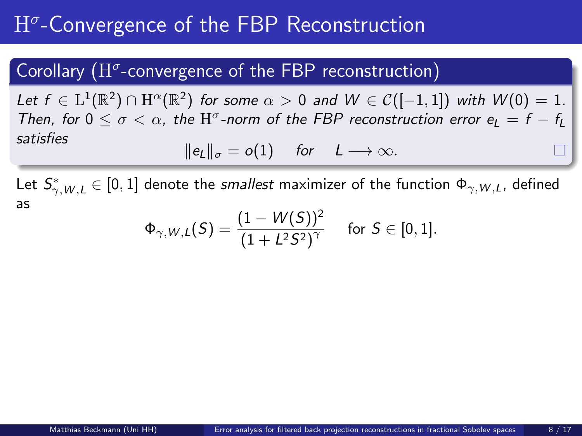## Corollary  $(H^{\sigma}$ -convergence of the FBP reconstruction)

Let  $f \in L^1(\mathbb{R}^2) \cap H^{\alpha}(\mathbb{R}^2)$  for some  $\alpha > 0$  and  $W \in C([-1,1])$  with  $W(0) = 1$ . Then, for  $0 \le \sigma < \alpha$ , the  $H^{\sigma}$ -norm of the FBP reconstruction error  $e_L = f - f_L$ satisfies

$$
\|e_L\|_{\sigma}=o(1) \quad \text{for} \quad L\longrightarrow\infty.
$$

Let  $\mathcal{S}^*_{\gamma, W, L} \in [0, 1]$  denote the *smallest* maximizer of the function  $\Phi_{\gamma, W, L}$ , defined as

$$
\Phi_{\gamma,W,L}(\mathcal{S})=\frac{(1-W(\mathcal{S}))^2}{(1+L^2\mathcal{S}^2)^{\gamma}}\quad \text{ for }\mathcal{S}\in[0,1].
$$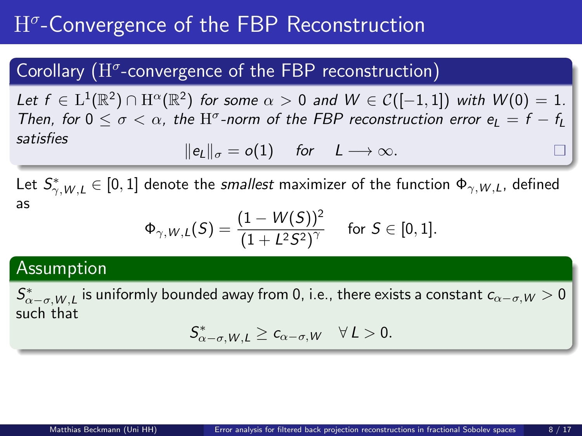## Corollary  $(H^{\sigma}$ -convergence of the FBP reconstruction)

Let  $f \in L^1(\mathbb{R}^2) \cap H^{\alpha}(\mathbb{R}^2)$  for some  $\alpha > 0$  and  $W \in C([-1,1])$  with  $W(0) = 1$ . Then, for  $0 \le \sigma < \alpha$ , the  $H^{\sigma}$ -norm of the FBP reconstruction error  $e_L = f - f_L$ satisfies

$$
||e_L||_{\sigma}=o(1) \quad \text{for} \quad L\longrightarrow\infty.
$$

Let  $\mathcal{S}^*_{\gamma, W, L} \in [0, 1]$  denote the *smallest* maximizer of the function  $\Phi_{\gamma, W, L}$ , defined as

$$
\Phi_{\gamma,W,L}(\mathcal{S})=\frac{(1-W(\mathcal{S}))^2}{(1+L^2\mathcal{S}^2)^{\gamma}}\quad\text{ for }\mathcal{S}\in[0,1].
$$

### Assumption

 $\mathcal{S}^*_{\alpha-\sigma, W,L}$  is uniformly bounded away from 0, i.e., there exists a constant  $c_{\alpha-\sigma, W}>0$ such that

$$
S^*_{\alpha-\sigma,W,L}\geq c_{\alpha-\sigma,W}\quad \forall L>0.
$$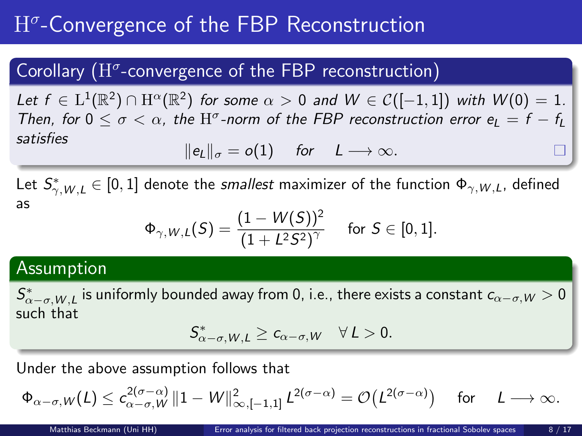## Corollary  $(H^{\sigma}$ -convergence of the FBP reconstruction)

Let  $f \in L^1(\mathbb{R}^2) \cap H^{\alpha}(\mathbb{R}^2)$  for some  $\alpha > 0$  and  $W \in C([-1,1])$  with  $W(0) = 1$ . Then, for  $0 \le \sigma < \alpha$ , the  $H^{\sigma}$ -norm of the FBP reconstruction error  $e_L = f - f_L$ satisfies

$$
||e_L||_{\sigma}=o(1) \quad \text{for} \quad L\longrightarrow\infty.
$$

Let  $\mathcal{S}^*_{\gamma, W, L} \in [0, 1]$  denote the *smallest* maximizer of the function  $\Phi_{\gamma, W, L}$ , defined as

$$
\Phi_{\gamma,W,L}(\mathcal{S})=\frac{(1-W(\mathcal{S}))^2}{(1+L^2\mathcal{S}^2)^{\gamma}}\quad\text{ for }\mathcal{S}\in[0,1].
$$

### Assumption

 $\mathcal{S}^*_{\alpha-\sigma, W,L}$  is uniformly bounded away from 0, i.e., there exists a constant  $c_{\alpha-\sigma, W}>0$ such that

$$
S^*_{\alpha-\sigma,W,L}\geq c_{\alpha-\sigma,W}\quad \forall\,L>0.
$$

Under the above assumption follows that

$$
\Phi_{\alpha-\sigma,W}(L)\leq c_{\alpha-\sigma,W}^{2(\sigma-\alpha)}\, \|1-W\|_{\infty,[-1,1]}^2\, L^{2(\sigma-\alpha)}=\mathcal{O}\big(L^{2(\sigma-\alpha)}\big)\quad \text{ for }\quad L\longrightarrow\infty.
$$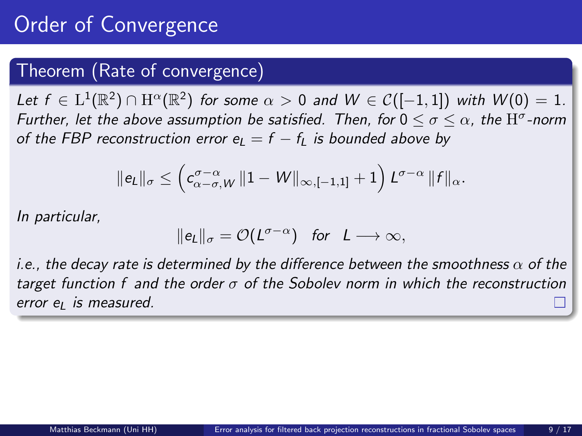# Order of Convergence

### Theorem (Rate of convergence)

Let  $f \in L^1(\mathbb{R}^2) \cap H^{\alpha}(\mathbb{R}^2)$  for some  $\alpha > 0$  and  $W \in C([-1,1])$  with  $W(0) = 1$ . Further, let the above assumption be satisfied. Then, for  $0\leq\sigma\leq\alpha$ , the  $\mathrm{H}^\sigma$ -norm of the FBP reconstruction error  $e_L = f - f_L$  is bounded above by

$$
\|e_L\|_{\sigma} \leq \left( c_{\alpha-\sigma,W}^{\sigma-\alpha}\left\|1-W\right\|_{\infty,[-1,1]}+1 \right) L^{\sigma-\alpha} \|f\|_{\alpha}.
$$

In particular,

$$
\|e_L\|_\sigma = \mathcal{O}(L^{\sigma-\alpha}) \quad \text{for} \quad L \longrightarrow \infty,
$$

i.e., the decay rate is determined by the difference between the smoothness  $\alpha$  of the target function f and the order  $\sigma$  of the Sobolev norm in which the reconstruction error  $e_l$  is measured.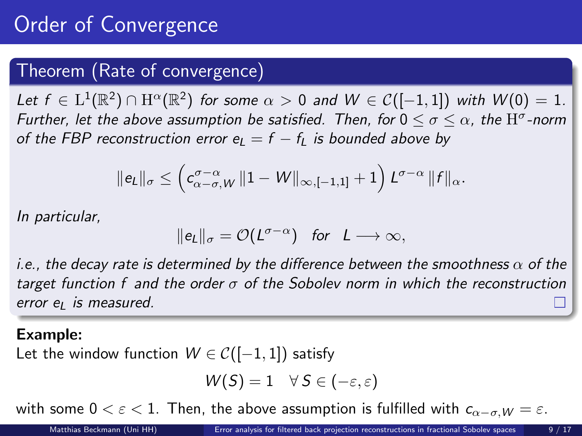# **Order of Convergence**

### Theorem (Rate of convergence)

Let  $f \in L^1(\mathbb{R}^2) \cap H^{\alpha}(\mathbb{R}^2)$  for some  $\alpha > 0$  and  $W \in C([-1,1])$  with  $W(0) = 1$ . Further, let the above assumption be satisfied. Then, for  $0\leq\sigma\leq\alpha$ , the  $\mathrm{H}^\sigma$ -norm of the FBP reconstruction error  $e_L = f - f_L$  is bounded above by

$$
\|e_L\|_{\sigma} \leq \left( c_{\alpha-\sigma,W}^{\sigma-\alpha}\left\|1-W\right\|_{\infty,[-1,1]}+1 \right) L^{\sigma-\alpha} \|f\|_{\alpha}.
$$

In particular,

$$
\|e_L\|_\sigma = \mathcal{O}(L^{\sigma-\alpha}) \quad \text{for} \quad L \longrightarrow \infty,
$$

i.e., the decay rate is determined by the difference between the smoothness  $\alpha$  of the target function f and the order  $\sigma$  of the Sobolev norm in which the reconstruction  $error$  e<sub>l</sub> is measured.

#### Example:

Let the window function  $W \in \mathcal{C}([-1,1])$  satisfy

$$
W(S) = 1 \quad \forall \ S \in (-\varepsilon, \varepsilon)
$$

with some  $0 < \varepsilon < 1$ . Then, the above assumption is fulfilled with  $c_{\alpha-\sigma}$   $w = \varepsilon$ .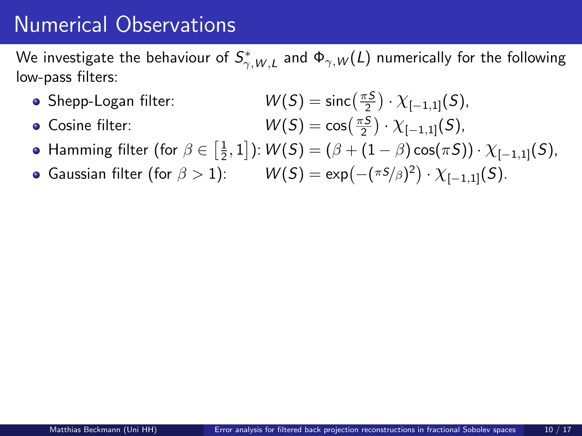<span id="page-28-0"></span>We investigate the behaviour of  $\mathcal{S}^*_{\gamma, W, L}$  and  $\Phi_{\gamma, W}(L)$  numerically for the following low-pass filters:

- Shepp-Logan filter:
- $\bullet$  Cosine filter:

$$
W(S) = \operatorname{sinc}\left(\frac{\pi S}{2}\right) \cdot \chi_{[-1,1]}(S),
$$
  

$$
W(S) = \cos\left(\frac{\pi S}{2}\right) \cdot \chi_{[-1,1]}(S),
$$

Hamming filter (for  $\beta \in \left[\frac{1}{2}, 1\right]$ ):  $W(S) = (\beta + (1 - \beta) \cos(\pi S)) \cdot \chi_{[-1,1]}(S)$ ,

Gaussian filter (for  $\beta > 1$ ):  $W(S) = \exp(-(\pi s/\beta)^2) \cdot \chi_{[-1,1]}(S)$ .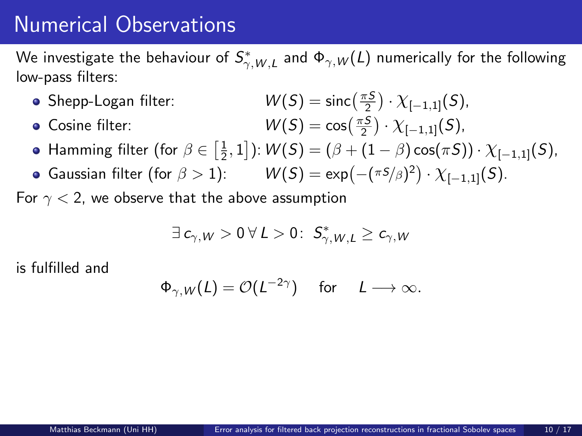We investigate the behaviour of  $\mathcal{S}^*_{\gamma, W, L}$  and  $\Phi_{\gamma, W}(L)$  numerically for the following low-pass filters:

- Shepp-Logan filter:
- $\bullet$  Cosine filter:

$$
W(S) = \text{sinc}\left(\frac{\pi S}{2}\right) \cdot \chi_{[-1,1]}(S),
$$
  

$$
W(S) = \cos\left(\frac{\pi S}{2}\right) \cdot \chi_{[-1,1]}(S),
$$

- Hamming filter (for  $\beta \in \left[\frac{1}{2}, 1\right]$ ):  $W(S) = (\beta + (1 \beta) \cos(\pi S)) \cdot \chi_{[-1,1]}(S)$ ,
- Gaussian filter (for  $\beta > 1$ ):  $W(S) = \exp(-(\pi s/\beta)^2) \cdot \chi_{[-1,1]}(S)$ .

For  $\gamma$  < 2, we observe that the above assumption

$$
\exists c_{\gamma,W}>0\ \forall\ L>0\colon\ S_{\gamma,W,L}^*\geq c_{\gamma,W}
$$

is fulfilled and

$$
\Phi_{\gamma,W}(L) = \mathcal{O}(L^{-2\gamma}) \quad \text{ for } \quad L \longrightarrow \infty.
$$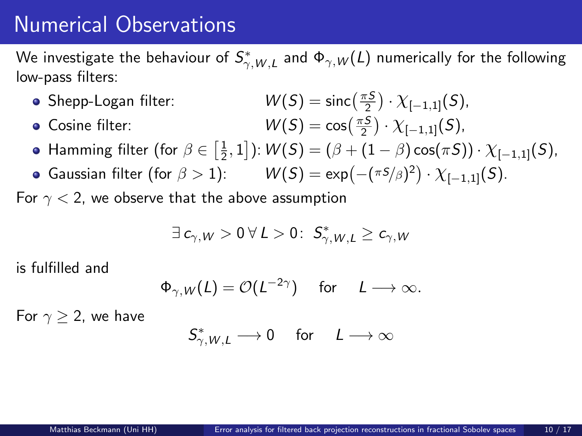We investigate the behaviour of  $\mathcal{S}^*_{\gamma, W, L}$  and  $\Phi_{\gamma, W}(L)$  numerically for the following low-pass filters:

- Shepp-Logan filter:
- $\bullet$  Cosine filter:

$$
W(S) = \text{sinc}\left(\frac{\pi S}{2}\right) \cdot \chi_{[-1,1]}(S),
$$
  

$$
W(S) = \cos\left(\frac{\pi S}{2}\right) \cdot \chi_{[-1,1]}(S),
$$

- Hamming filter (for  $\beta \in \left[\frac{1}{2}, 1\right]$ ):  $W(S) = (\beta + (1 \beta) \cos(\pi S)) \cdot \chi_{[-1,1]}(S)$ ,
- Gaussian filter (for  $\beta > 1$ ):  $W(S) = \exp(-(\pi s/\beta)^2) \cdot \chi_{[-1,1]}(S)$ .

For  $\gamma$  < 2, we observe that the above assumption

$$
\exists \ c_{\gamma,W} > 0 \ \forall \ L > 0 \colon \ \mathcal{S}_{\gamma,W,L}^* \geq c_{\gamma,W}
$$

is fulfilled and

$$
\Phi_{\gamma,W}(L) = \mathcal{O}(L^{-2\gamma}) \quad \text{ for } \quad L \longrightarrow \infty.
$$

For  $\gamma > 2$ , we have

$$
\mathsf{S}_{\gamma,W,L}^*\longrightarrow 0\quad\text{ for }\quad L\longrightarrow\infty
$$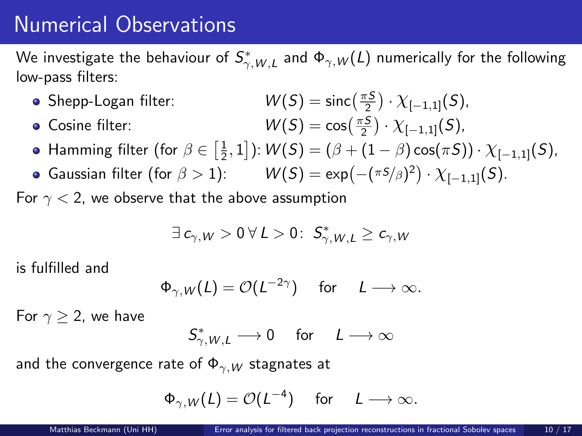We investigate the behaviour of  $\mathcal{S}^*_{\gamma, W, L}$  and  $\Phi_{\gamma, W}(L)$  numerically for the following low-pass filters:

- Shepp-Logan filter:
- $\bullet$  Cosine filter:

$$
W(S) = \text{sinc}\left(\frac{\pi S}{2}\right) \cdot \chi_{[-1,1]}(S),
$$
  

$$
W(S) = \cos\left(\frac{\pi S}{2}\right) \cdot \chi_{[-1,1]}(S),
$$

- Hamming filter (for  $\beta \in \left[\frac{1}{2}, 1\right]$ ):  $W(S) = (\beta + (1 \beta) \cos(\pi S)) \cdot \chi_{[-1,1]}(S)$ ,
- Gaussian filter (for  $\beta > 1$ ):  $W(S) = \exp(-(\pi s/\beta)^2) \cdot \chi_{[-1,1]}(S)$ .

For  $\gamma$  < 2, we observe that the above assumption

$$
\exists \ c_{\gamma,W} > 0 \ \forall \ L > 0 \colon \ \mathcal{S}_{\gamma,W,L}^* \geq c_{\gamma,W}
$$

is fulfilled and

$$
\Phi_{\gamma,W}(L) = \mathcal{O}(L^{-2\gamma}) \quad \text{for} \quad L \longrightarrow \infty.
$$

For  $\gamma > 2$ , we have

$$
S_{\gamma,W,L}^*\longrightarrow 0\quad \ \text{for}\quad \ \underline{L}\longrightarrow \infty
$$

and the convergence rate of  $\Phi_{\gamma,W}$  stagnates at

$$
\Phi_{\gamma,W}(L) = \mathcal{O}(L^{-4}) \quad \text{ for } \quad L \longrightarrow \infty.
$$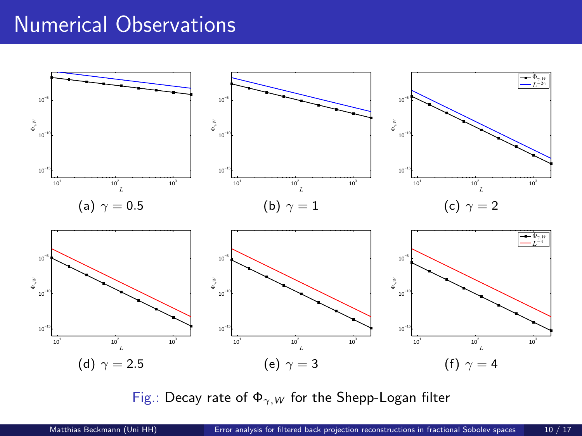

Fig.: Decay rate of  $\Phi_{\gamma,W}$  for the Shepp-Logan filter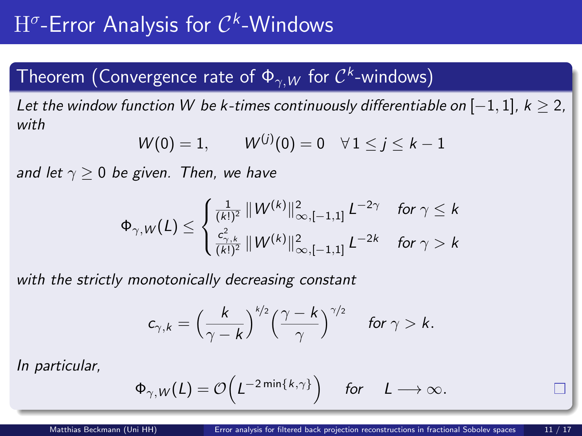# <span id="page-33-0"></span> $\mathrm{H}^\sigma$ -Error Analysis for  $\mathcal{C}^k$ -Windows

## Theorem (Convergence rate of  $\Phi_{\gamma,W}$  for  $\mathcal{C}^k$ -windows)

Let the window function W be k-times continuously differentiable on  $[-1, 1]$ ,  $k > 2$ , with

$$
W(0) = 1, \qquad W^{(j)}(0) = 0 \quad \forall \, 1 \leq j \leq k-1
$$

and let  $\gamma > 0$  be given. Then, we have

$$
\Phi_{\gamma,W}(L) \leq \begin{cases} \frac{1}{(k!)^2} \left\| W^{(k)} \right\|_{\infty,[-1,1]}^2 L^{-2\gamma} & \text{for } \gamma \leq k \\ \frac{c_{\gamma,k}^2}{(k!)^2} \left\| W^{(k)} \right\|_{\infty,[-1,1]}^2 L^{-2k} & \text{for } \gamma > k \end{cases}
$$

with the strictly monotonically decreasing constant

$$
c_{\gamma,k}=\Big(\frac{k}{\gamma-k}\Big)^{k/2}\Big(\frac{\gamma-k}{\gamma}\Big)^{\gamma/2}\quad \text{ for } \gamma>k.
$$

$$
\Phi_{\gamma,W}(L) = \mathcal{O}\Bigl(L^{-2\min\{k,\gamma\}}\Bigr) \quad \text{ for } \quad L \longrightarrow \infty.
$$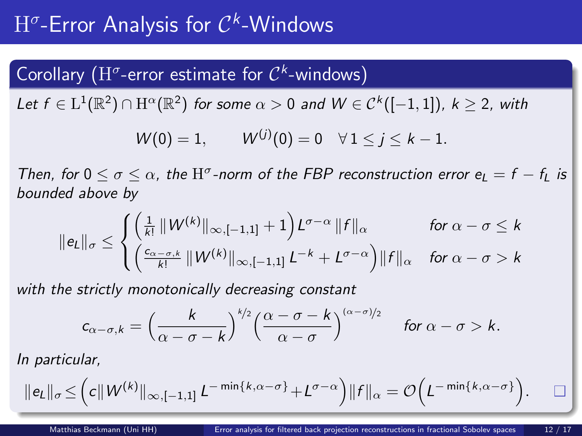# $\mathrm{H}^\sigma$ -Error Analysis for  $\mathcal{C}^k$ -Windows

## Corollary (H<sup> $\sigma$ </sup>-error estimate for  $\mathcal{C}^k$ -windows)

Let  $f \in \mathrm{L}^1(\mathbb{R}^2) \cap \mathrm{H}^{\alpha}(\mathbb{R}^2)$  for some  $\alpha > 0$  and  $W \in \mathcal{C}^k([-1,1]),\ k \geq 2$ , with

$$
W(0) = 1,
$$
  $W^{(j)}(0) = 0 \quad \forall 1 \le j \le k - 1.$ 

Then, for  $0 \le \sigma \le \alpha$ , the  $H^{\sigma}$ -norm of the FBP reconstruction error  $e_L = f - f_L$  is bounded above by

$$
\|e_L\|_{\sigma} \leq \begin{cases} \left(\frac{1}{k!} \left\|W^{(k)}\right\|_{\infty, [-1,1]} + 1\right) L^{\sigma-\alpha} \|f\|_{\alpha} & \text{for } \alpha - \sigma \leq k \\ \left(\frac{c_{\alpha-\sigma,k}}{k!} \left\|W^{(k)}\right\|_{\infty, [-1,1]} L^{-k} + L^{\sigma-\alpha}\right) \|f\|_{\alpha} & \text{for } \alpha - \sigma > k \end{cases}
$$

with the strictly monotonically decreasing constant

$$
c_{\alpha-\sigma,k}=\Big(\frac{k}{\alpha-\sigma-k}\Big)^{k/2}\Big(\frac{\alpha-\sigma-k}{\alpha-\sigma}\Big)^{(\alpha-\sigma)/2}\quad\text{ for }\alpha-\sigma>k.
$$

$$
\|e_L\|_{\sigma} \leq \Big(c\|{\cal W}^{(k)}\|_{\infty, [-1,1]} \, L^{-\min\{k,\alpha-\sigma\}} + L^{\sigma-\alpha}\Big) \|f\|_{\alpha} = \mathcal{O}\Big(L^{-\min\{k,\alpha-\sigma\}}\Big). \qquad \Box
$$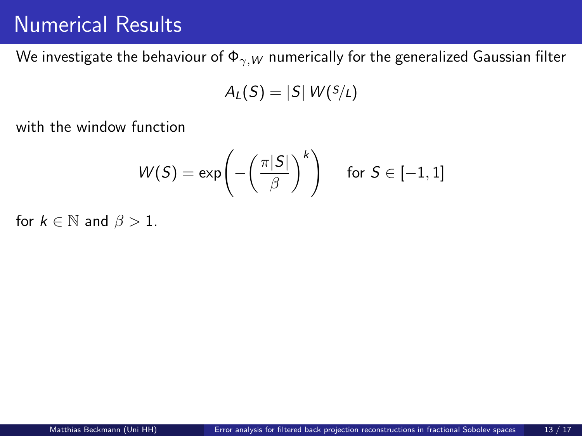We investigate the behaviour of  $\Phi_{\gamma,W}$  numerically for the generalized Gaussian filter

$$
A_L(S)=|S| W(S/L)
$$

with the window function

$$
W(S) = \exp\left(-\left(\frac{\pi|S|}{\beta}\right)^k\right) \quad \text{ for } S \in [-1,1]
$$

for  $k \in \mathbb{N}$  and  $\beta > 1$ .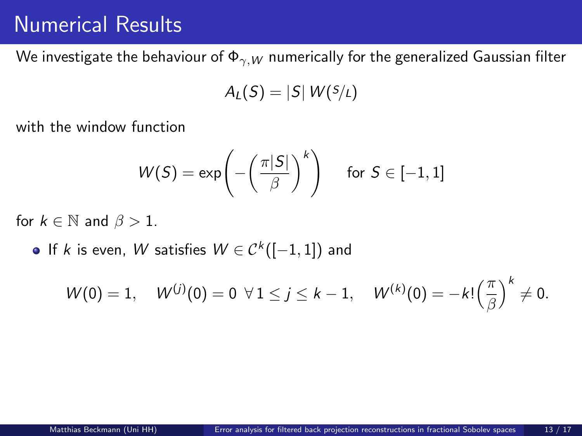We investigate the behaviour of  $\Phi_{\gamma,W}$  numerically for the generalized Gaussian filter

$$
A_L(S)=|S| W(S/L)
$$

with the window function

$$
W(S) = \exp\left(-\left(\frac{\pi|S|}{\beta}\right)^k\right) \quad \text{ for } S \in [-1,1]
$$

for  $k \in \mathbb{N}$  and  $\beta > 1$ .

If k is even, W satisfies  $W \in \mathcal{C}^k([-1,1])$  and

$$
W(0) = 1, \quad W^{(j)}(0) = 0 \ \forall 1 \leq j \leq k-1, \quad W^{(k)}(0) = -k! \left(\frac{\pi}{\beta}\right)^k \neq 0.
$$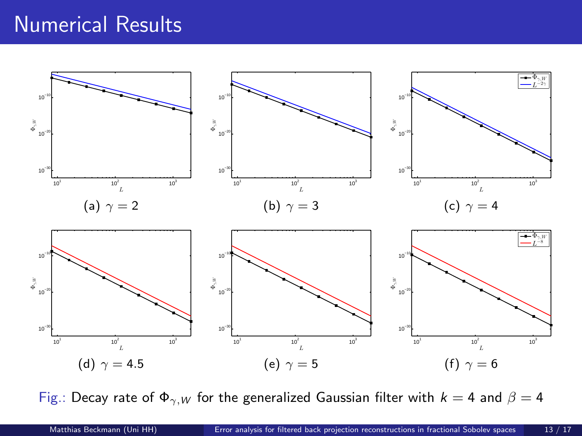

Fig.: Decay rate of  $\Phi_{\gamma,W}$  for the generalized Gaussian filter with  $k = 4$  and  $\beta = 4$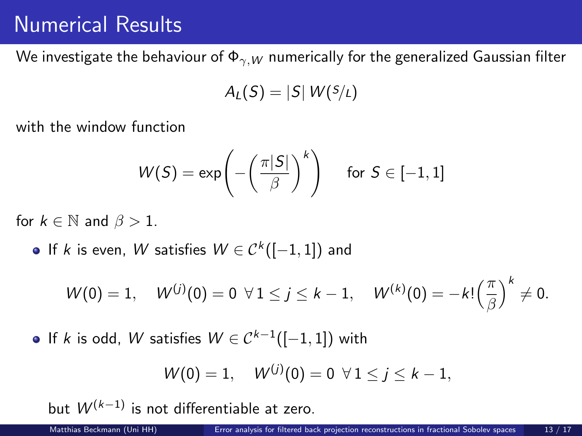We investigate the behaviour of  $\Phi_{\gamma,W}$  numerically for the generalized Gaussian filter

$$
A_L(S)=|S| W(S/L)
$$

with the window function

$$
W(S) = \exp\left(-\left(\frac{\pi|S|}{\beta}\right)^k\right) \quad \text{ for } S \in [-1,1]
$$

for  $k \in \mathbb{N}$  and  $\beta > 1$ .

If k is even, W satisfies  $W \in \mathcal{C}^k([-1,1])$  and

$$
W(0) = 1, \quad W^{(j)}(0) = 0 \ \forall 1 \leq j \leq k-1, \quad W^{(k)}(0) = -k! \left(\frac{\pi}{\beta}\right)^k \neq 0.
$$

If k is odd, W satisfies  $W \in C^{k-1}([-1,1])$  with

$$
W(0) = 1, \quad W^{(j)}(0) = 0 \ \forall 1 \leq j \leq k - 1,
$$

but  $W^{(k-1)}$  is not differentiable at zero.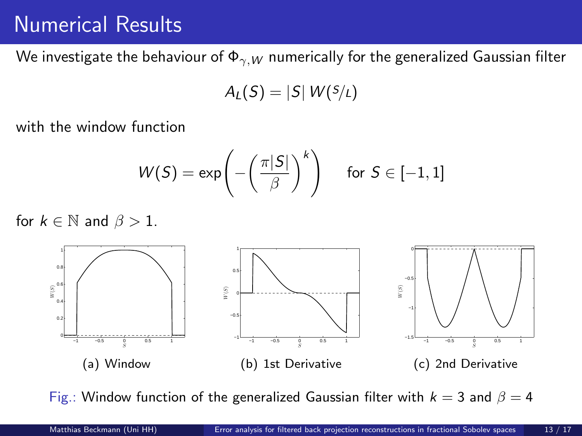We investigate the behaviour of  $\Phi_{\gamma,W}$  numerically for the generalized Gaussian filter

$$
A_L(S) = |S| W(S/L)
$$

with the window function

$$
W(S) = \exp\left(-\left(\frac{\pi|S|}{\beta}\right)^k\right) \quad \text{ for } S \in [-1,1]
$$

for  $k \in \mathbb{N}$  and  $\beta > 1$ .



Fig.: Window function of the generalized Gaussian filter with  $k = 3$  and  $\beta = 4$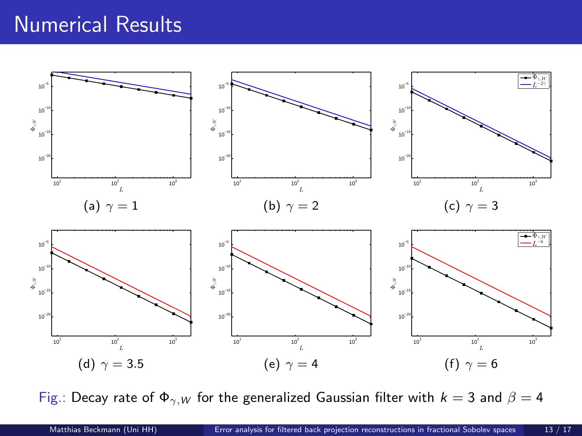

Fig.: Decay rate of  $\Phi_{\gamma,W}$  for the generalized Gaussian filter with  $k = 3$  and  $\beta = 4$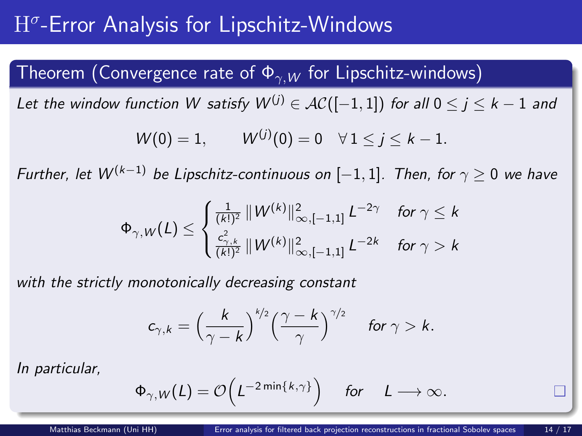# $\mathrm{H}^\sigma$ -Error Analysis for Lipschitz-Windows

### Theorem (Convergence rate of  $\Phi_{\gamma,W}$  for Lipschitz-windows)

Let the window function W satisfy  $W^{(j)} \in AC([-1,1])$  for all  $0 \le j \le k-1$  and

$$
W(0) = 1,
$$
  $W^{(j)}(0) = 0 \quad \forall 1 \le j \le k - 1.$ 

Further, let  $W^{(k-1)}$  be Lipschitz-continuous on  $[-1,1]$ . Then, for  $\gamma \geq 0$  we have

$$
\Phi_{\gamma,W}(L) \leq \begin{cases} \frac{1}{(k!)^2} \left\| W^{(k)} \right\|_{\infty,[-1,1]}^2 L^{-2\gamma} & \text{for } \gamma \leq k \\ \frac{c_{\gamma,k}^2}{(k!)^2} \left\| W^{(k)} \right\|_{\infty,[-1,1]}^2 L^{-2k} & \text{for } \gamma > k \end{cases}
$$

with the strictly monotonically decreasing constant

$$
c_{\gamma,k}=\Big(\frac{k}{\gamma-k}\Big)^{k/2}\Big(\frac{\gamma-k}{\gamma}\Big)^{\gamma/2}\quad \text{ for } \gamma>k.
$$

$$
\Phi_{\gamma,W}(L) = \mathcal{O}\Big(L^{-2\min\{k,\gamma\}}\Big) \quad \text{ for } \quad L \longrightarrow \infty.
$$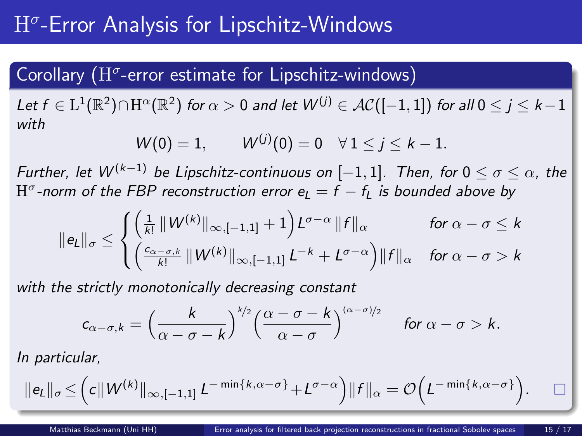# $\mathrm{H}^\sigma$ -Error Analysis for Lipschitz-Windows

## Corollary  $(H^{\sigma}$ -error estimate for Lipschitz-windows)

Let  $f\in \mathrm{L}^1(\mathbb{R}^2)\cap\mathrm{H}^\alpha(\mathbb{R}^2)$  for  $\alpha>0$  and let  $\mathcal{W}^{(j)}\in\mathcal{AC}([-1,1])$  for all  $0\leq j\leq k-1$ with

$$
W(0) = 1,
$$
  $W^{(j)}(0) = 0 \quad \forall 1 \le j \le k - 1.$ 

Further, let  $W^{(k-1)}$  be Lipschitz-continuous on  $[-1,1]$ . Then, for  $0 \le \sigma \le \alpha$ , the  $\mathrm{H}^\sigma$ -norm of the FBP reconstruction error  $\mathrm{e}_L = f - f_L$  is bounded above by

$$
\|e_L\|_{\sigma} \leq \begin{cases} \left(\frac{1}{k!} \left\|W^{(k)}\right\|_{\infty, [-1,1]} + 1\right) L^{\sigma - \alpha} \|f\|_{\alpha} & \text{for } \alpha - \sigma \leq k \\ \left(\frac{c_{\alpha - \sigma, k}}{k!} \left\|W^{(k)}\right\|_{\infty, [-1,1]} L^{-k} + L^{\sigma - \alpha}\right) \|f\|_{\alpha} & \text{for } \alpha - \sigma > k \end{cases}
$$

with the strictly monotonically decreasing constant

$$
c_{\alpha-\sigma,k}=\Big(\frac{k}{\alpha-\sigma-k}\Big)^{k/2}\Big(\frac{\alpha-\sigma-k}{\alpha-\sigma}\Big)^{(\alpha-\sigma)/2}\quad\text{ for }\alpha-\sigma>k.
$$

$$
\|e_L\|_{\sigma} \leq \Big(c\|W^{(k)}\|_{\infty, [-1,1]} L^{-\min\{k,\alpha-\sigma\}} + L^{\sigma-\alpha}\Big)\|f\|_{\alpha} = \mathcal{O}\Big(L^{-\min\{k,\alpha-\sigma\}}\Big). \qquad \Box
$$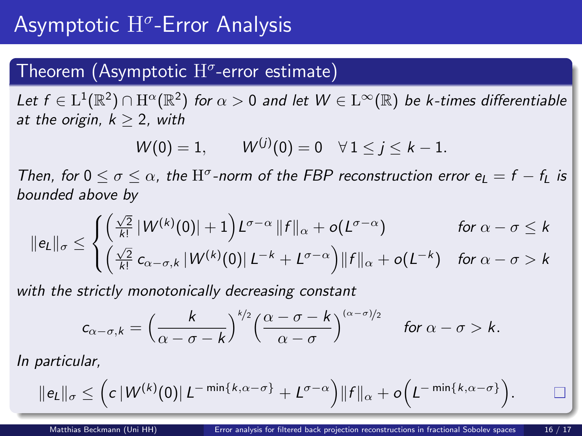## <span id="page-43-0"></span>Theorem (Asymptotic  $\mathrm{H}^\sigma$ -error estimate)

Let  $f\in \mathrm{L}^1(\mathbb{R}^2)\cap \mathrm{H}^\alpha(\mathbb{R}^2)$  for  $\alpha>0$  and let  $W\in \mathrm{L}^\infty(\mathbb{R})$  be k-times differentiable at the origin,  $k \geq 2$ , with

$$
W(0) = 1,
$$
  $W^{(j)}(0) = 0 \quad \forall 1 \le j \le k - 1.$ 

Then, for  $0 \le \sigma \le \alpha$ , the H<sup> $\sigma$ </sup>-norm of the FBP reconstruction error  $e_L = f - f_L$  is bounded above by

$$
\|e_L\|_{\sigma} \leq \begin{cases} \left(\frac{\sqrt{2}}{k!} |W^{(k)}(0)| + 1\right) L^{\sigma - \alpha} \|f\|_{\alpha} + o(L^{\sigma - \alpha}) & \text{for } \alpha - \sigma \leq k \\ \left(\frac{\sqrt{2}}{k!} c_{\alpha - \sigma, k} |W^{(k)}(0)| L^{-k} + L^{\sigma - \alpha}\right) \|f\|_{\alpha} + o(L^{-k}) & \text{for } \alpha - \sigma > k \end{cases}
$$

with the strictly monotonically decreasing constant

$$
c_{\alpha-\sigma,k}=\left(\frac{k}{\alpha-\sigma-k}\right)^{k/2}\left(\frac{\alpha-\sigma-k}{\alpha-\sigma}\right)^{(\alpha-\sigma)/2}\quad\text{for }\alpha-\sigma>k.
$$

$$
\|e_L\|_{\sigma} \leq \Big(c\,|W^{(k)}(0)|\,L^{-\min\{k,\alpha-\sigma\}}+L^{\sigma-\alpha}\Big)\|f\|_{\alpha}+o\Big(L^{-\min\{k,\alpha-\sigma\}}\Big).
$$